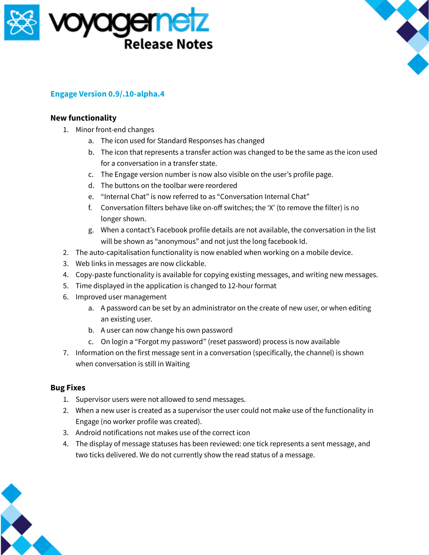



## **Engage Version 0.9/.10-alpha.4**

## **New functionality**

- 1. Minor front-end changes
	- a. The icon used for Standard Responses has changed
	- b. The icon that represents a transfer action was changed to be the same as the icon used for a conversation in a transfer state.
	- c. The Engage version number is now also visible on the user's profile page.
	- d. The buttons on the toolbar were reordered
	- e. "Internal Chat" is now referred to as "Conversation Internal Chat"
	- f. Conversation filters behave like on-off switches; the 'X' (to remove the filter) is no longer shown.
	- g. When a contact's Facebook profile details are not available, the conversation in the list will be shown as "anonymous" and not just the long facebook Id.
- 2. The auto-capitalisation functionality is now enabled when working on a mobile device.
- 3. Web links in messages are now clickable.
- 4. Copy-paste functionality is available for copying existing messages, and writing new messages.
- 5. Time displayed in the application is changed to 12-hour format
- 6. Improved user management
	- a. A password can be set by an administrator on the create of new user, or when editing an existing user.
	- b. A user can now change his own password
	- c. On login a "Forgot my password" (reset password) process is now available
- 7. Information on the first message sent in a conversation (specifically, the channel) is shown when conversation is still in Waiting

## **Bug Fixes**

- 1. Supervisor users were not allowed to send messages.
- 2. When a new user is created as a supervisor the user could not make use of the functionality in Engage (no worker profile was created).
- 3. Android notifications not makes use of the correct icon
- 4. The display of message statuses has been reviewed: one tick represents a sent message, and two ticks delivered. We do not currently show the read status of a message.